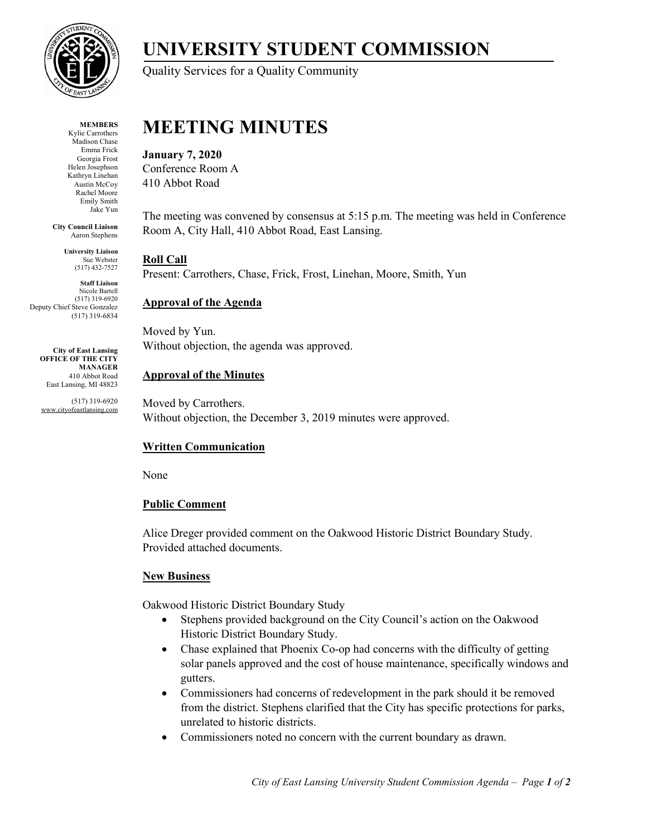

**MEMBERS** Kylie Carrothers Madison Chase Emma Frick Georgia Frost Helen Josephson Kathryn Linehan Austin McCoy Rachel Moore Emily Smith Jake Yun

**City Council Liaison** Aaron Stephens

> **University Liaison**  Sue Webster (517) 432-7527

**Staff Liaison** Nicole Bartell (517) 319-6920 Deputy Chief Steve Gonzalez (517) 319-6834

**City of East Lansing OFFICE OF THE CITY MANAGER** 410 Abbot Road East Lansing, MI 48823

(517) 319-6920 www.cityofeastlansing.com

# **UNIVERSITY STUDENT COMMISSION**

Quality Services for a Quality Community

## **MEETING MINUTES**

**January 7, 2020**

Conference Room A 410 Abbot Road

The meeting was convened by consensus at 5:15 p.m. The meeting was held in Conference Room A, City Hall, 410 Abbot Road, East Lansing.

## **Roll Call**

Present: Carrothers, Chase, Frick, Frost, Linehan, Moore, Smith, Yun

## **Approval of the Agenda**

Moved by Yun. Without objection, the agenda was approved.

## **Approval of the Minutes**

Moved by Carrothers. Without objection, the December 3, 2019 minutes were approved.

## **Written Communication**

None

#### **Public Comment**

Alice Dreger provided comment on the Oakwood Historic District Boundary Study. Provided attached documents.

#### **New Business**

Oakwood Historic District Boundary Study

- Stephens provided background on the City Council's action on the Oakwood Historic District Boundary Study.
- Chase explained that Phoenix Co-op had concerns with the difficulty of getting solar panels approved and the cost of house maintenance, specifically windows and gutters.
- Commissioners had concerns of redevelopment in the park should it be removed from the district. Stephens clarified that the City has specific protections for parks, unrelated to historic districts.
- Commissioners noted no concern with the current boundary as drawn.